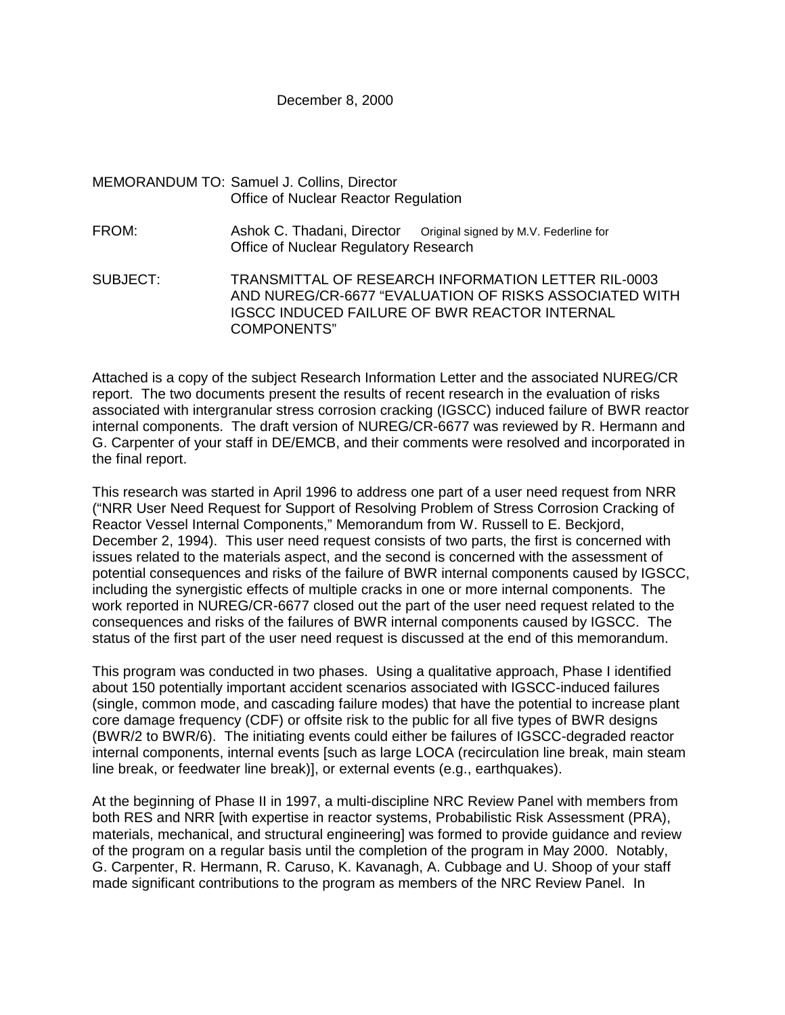#### December 8, 2000

# MEMORANDUM TO: Samuel J. Collins, Director Office of Nuclear Reactor Regulation

FROM: Ashok C. Thadani, Director Original signed by M.V. Federline for Office of Nuclear Regulatory Research

SUBJECT: TRANSMITTAL OF RESEARCH INFORMATION LETTER RIL-0003 AND NUREG/CR-6677 "EVALUATION OF RISKS ASSOCIATED WITH IGSCC INDUCED FAILURE OF BWR REACTOR INTERNAL COMPONENTS"

Attached is a copy of the subject Research Information Letter and the associated NUREG/CR report. The two documents present the results of recent research in the evaluation of risks associated with intergranular stress corrosion cracking (IGSCC) induced failure of BWR reactor internal components. The draft version of NUREG/CR-6677 was reviewed by R. Hermann and G. Carpenter of your staff in DE/EMCB, and their comments were resolved and incorporated in the final report.

This research was started in April 1996 to address one part of a user need request from NRR ("NRR User Need Request for Support of Resolving Problem of Stress Corrosion Cracking of Reactor Vessel Internal Components," Memorandum from W. Russell to E. Beckjord, December 2, 1994). This user need request consists of two parts, the first is concerned with issues related to the materials aspect, and the second is concerned with the assessment of potential consequences and risks of the failure of BWR internal components caused by IGSCC, including the synergistic effects of multiple cracks in one or more internal components. The work reported in NUREG/CR-6677 closed out the part of the user need request related to the consequences and risks of the failures of BWR internal components caused by IGSCC. The status of the first part of the user need request is discussed at the end of this memorandum.

This program was conducted in two phases. Using a qualitative approach, Phase I identified about 150 potentially important accident scenarios associated with IGSCC-induced failures (single, common mode, and cascading failure modes) that have the potential to increase plant core damage frequency (CDF) or offsite risk to the public for all five types of BWR designs (BWR/2 to BWR/6). The initiating events could either be failures of IGSCC-degraded reactor internal components, internal events [such as large LOCA (recirculation line break, main steam line break, or feedwater line break)], or external events (e.g., earthquakes).

At the beginning of Phase II in 1997, a multi-discipline NRC Review Panel with members from both RES and NRR [with expertise in reactor systems, Probabilistic Risk Assessment (PRA), materials, mechanical, and structural engineering] was formed to provide guidance and review of the program on a regular basis until the completion of the program in May 2000. Notably, G. Carpenter, R. Hermann, R. Caruso, K. Kavanagh, A. Cubbage and U. Shoop of your staff made significant contributions to the program as members of the NRC Review Panel. In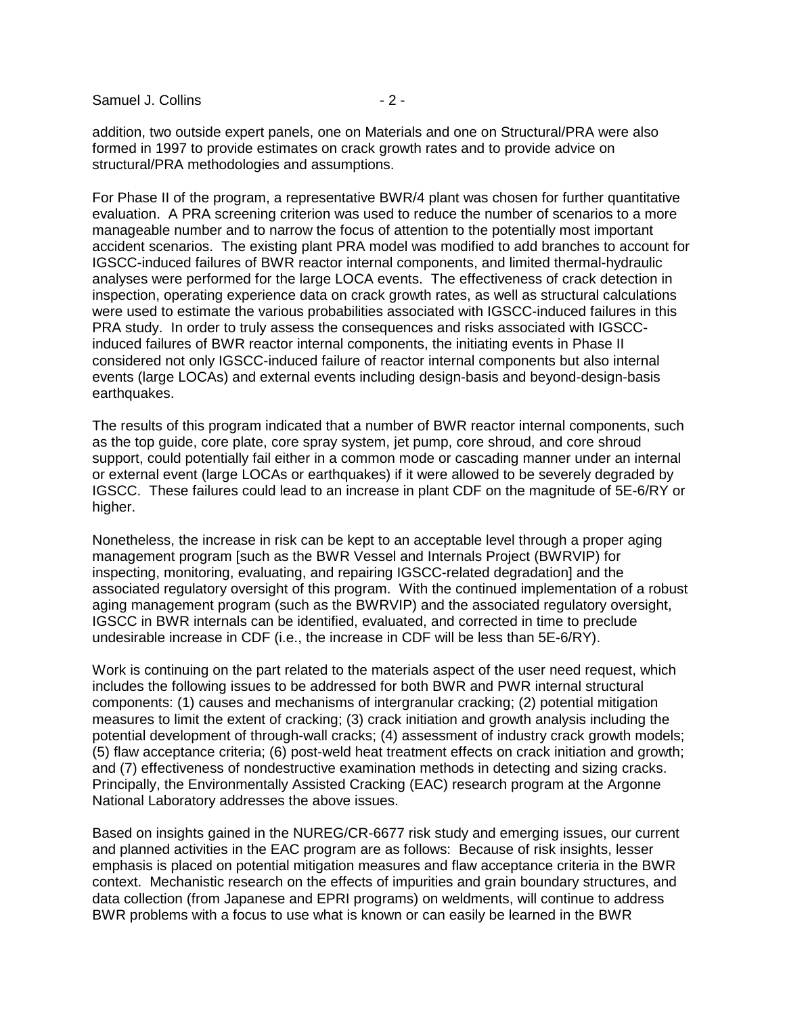Samuel J. Collins - 2 -

addition, two outside expert panels, one on Materials and one on Structural/PRA were also formed in 1997 to provide estimates on crack growth rates and to provide advice on structural/PRA methodologies and assumptions.

For Phase II of the program, a representative BWR/4 plant was chosen for further quantitative evaluation. A PRA screening criterion was used to reduce the number of scenarios to a more manageable number and to narrow the focus of attention to the potentially most important accident scenarios. The existing plant PRA model was modified to add branches to account for IGSCC-induced failures of BWR reactor internal components, and limited thermal-hydraulic analyses were performed for the large LOCA events. The effectiveness of crack detection in inspection, operating experience data on crack growth rates, as well as structural calculations were used to estimate the various probabilities associated with IGSCC-induced failures in this PRA study. In order to truly assess the consequences and risks associated with IGSCCinduced failures of BWR reactor internal components, the initiating events in Phase II considered not only IGSCC-induced failure of reactor internal components but also internal events (large LOCAs) and external events including design-basis and beyond-design-basis earthquakes.

The results of this program indicated that a number of BWR reactor internal components, such as the top guide, core plate, core spray system, jet pump, core shroud, and core shroud support, could potentially fail either in a common mode or cascading manner under an internal or external event (large LOCAs or earthquakes) if it were allowed to be severely degraded by IGSCC. These failures could lead to an increase in plant CDF on the magnitude of 5E-6/RY or higher.

Nonetheless, the increase in risk can be kept to an acceptable level through a proper aging management program [such as the BWR Vessel and Internals Project (BWRVIP) for inspecting, monitoring, evaluating, and repairing IGSCC-related degradation] and the associated regulatory oversight of this program. With the continued implementation of a robust aging management program (such as the BWRVIP) and the associated regulatory oversight, IGSCC in BWR internals can be identified, evaluated, and corrected in time to preclude undesirable increase in CDF (i.e., the increase in CDF will be less than 5E-6/RY).

Work is continuing on the part related to the materials aspect of the user need request, which includes the following issues to be addressed for both BWR and PWR internal structural components: (1) causes and mechanisms of intergranular cracking; (2) potential mitigation measures to limit the extent of cracking; (3) crack initiation and growth analysis including the potential development of through-wall cracks; (4) assessment of industry crack growth models; (5) flaw acceptance criteria; (6) post-weld heat treatment effects on crack initiation and growth; and (7) effectiveness of nondestructive examination methods in detecting and sizing cracks. Principally, the Environmentally Assisted Cracking (EAC) research program at the Argonne National Laboratory addresses the above issues.

Based on insights gained in the NUREG/CR-6677 risk study and emerging issues, our current and planned activities in the EAC program are as follows: Because of risk insights, lesser emphasis is placed on potential mitigation measures and flaw acceptance criteria in the BWR context. Mechanistic research on the effects of impurities and grain boundary structures, and data collection (from Japanese and EPRI programs) on weldments, will continue to address BWR problems with a focus to use what is known or can easily be learned in the BWR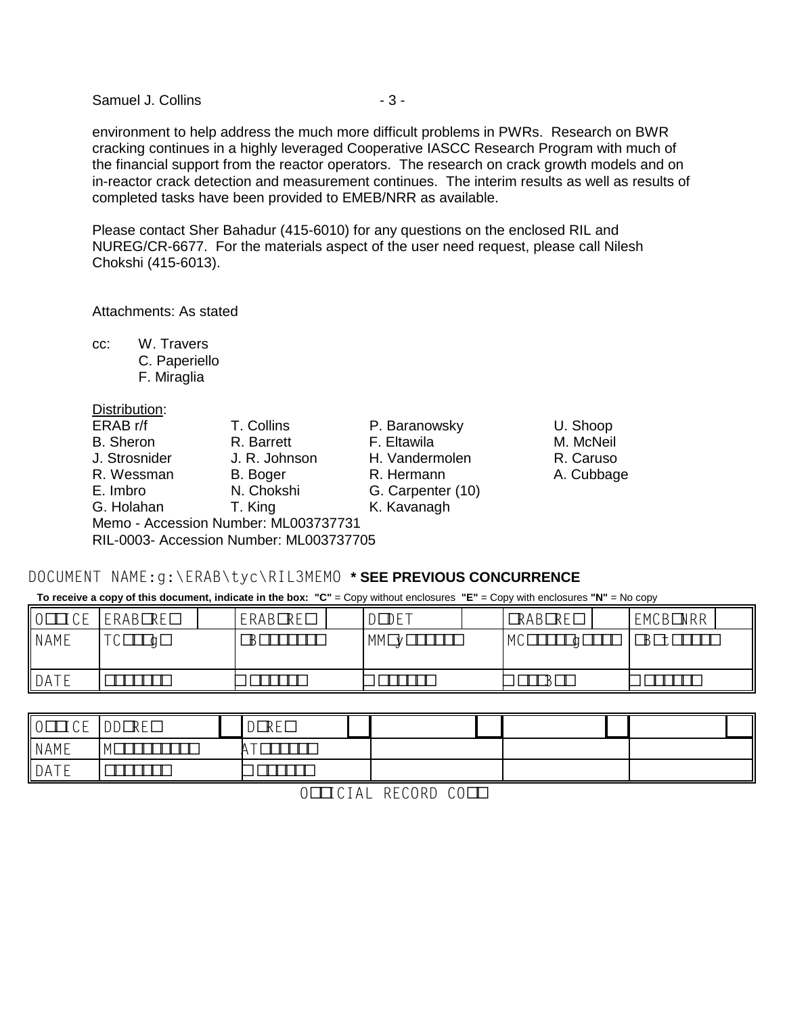Samuel J. Collins - 3 -

environment to help address the much more difficult problems in PWRs. Research on BWR cracking continues in a highly leveraged Cooperative IASCC Research Program with much of the financial support from the reactor operators. The research on crack growth models and on in-reactor crack detection and measurement continues. The interim results as well as results of completed tasks have been provided to EMEB/NRR as available.

Please contact Sher Bahadur (415-6010) for any questions on the enclosed RIL and NUREG/CR-6677. For the materials aspect of the user need request, please call Nilesh Chokshi (415-6013).

Attachments: As stated

cc: W. Travers

C. Paperiello F. Miraglia

 $\tilde{\mathbf{y}}$ 

Distribution:

| ERAB r/f         | T. Collins                              | P. Baranowsky     | U. Shoop  |
|------------------|-----------------------------------------|-------------------|-----------|
| <b>B.</b> Sheron | R. Barrett                              | F. Eltawila       | M. McNeil |
| J. Strosnider    | J. R. Johnson                           | H. Vandermolen    | R. Caruso |
| R. Wessman       | B. Boger                                | R. Hermann        | A. Cubba  |
| E. Imbro         | N. Chokshi                              | G. Carpenter (10) |           |
| G. Holahan       | T. King                                 | K. Kavanagh       |           |
|                  | Memo - Accession Number: ML003737731    |                   |           |
|                  | RIL-0003- Accession Number: ML003737705 |                   |           |

R. Caruso

A. Cubbage

# DOCUMENT NAME:g:\ERAB\tyc\RIL3MEMO \* SEE PREVIOUS CONCURRENCE

**To receive a copy of this document, indicate in the box: "C"** = Copy without enclosures **"E"** = Copy with enclosures **"N"** = No copy

| $\mathsf{L}$<br>⊤ ∩ ⊏<br>エしヒ | <b>RE</b><br>ERAB  | <b>RE</b><br>ERAB | $\Gamma$ $\Gamma$ $\tau$<br>υE<br>◡ | <b>RE</b><br><b>RAB</b> | <b>NRR</b><br>EMCB |
|------------------------------|--------------------|-------------------|-------------------------------------|-------------------------|--------------------|
| NAME                         | $\tau \wedge$<br>◡ | ╺                 | MM                                  | <b>MC</b>               | B<br>ັ             |
| DATE                         |                    |                   |                                     |                         |                    |

| $\ 0$<br>ICE | RE<br><b>DD</b> | D F<br>∣∖∟<br>◡ |  |  |
|--------------|-----------------|-----------------|--|--|
| NAME         |                 |                 |  |  |
| DATE         |                 |                 |  |  |

O ICIAL RECORD CO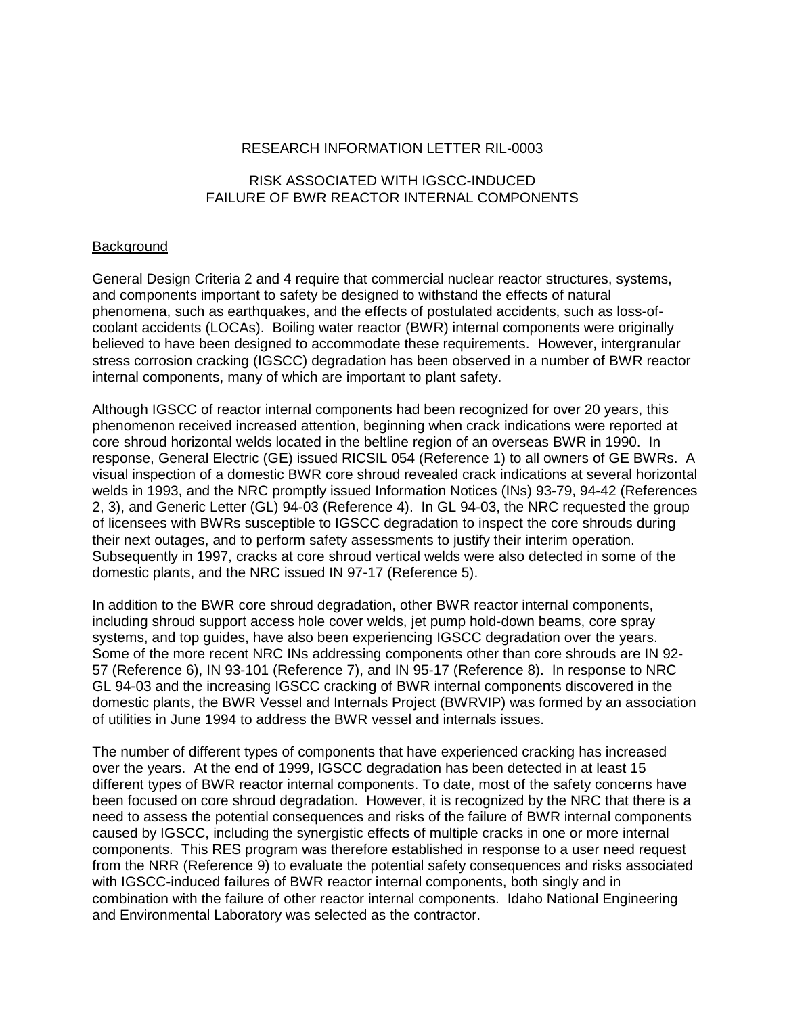## RESEARCH INFORMATION LETTER RIL-0003

## RISK ASSOCIATED WITH IGSCC-INDUCED FAILURE OF BWR REACTOR INTERNAL COMPONENTS

## Background

General Design Criteria 2 and 4 require that commercial nuclear reactor structures, systems, and components important to safety be designed to withstand the effects of natural phenomena, such as earthquakes, and the effects of postulated accidents, such as loss-ofcoolant accidents (LOCAs). Boiling water reactor (BWR) internal components were originally believed to have been designed to accommodate these requirements. However, intergranular stress corrosion cracking (IGSCC) degradation has been observed in a number of BWR reactor internal components, many of which are important to plant safety.

Although IGSCC of reactor internal components had been recognized for over 20 years, this phenomenon received increased attention, beginning when crack indications were reported at core shroud horizontal welds located in the beltline region of an overseas BWR in 1990. In response, General Electric (GE) issued RICSIL 054 (Reference 1) to all owners of GE BWRs. A visual inspection of a domestic BWR core shroud revealed crack indications at several horizontal welds in 1993, and the NRC promptly issued Information Notices (INs) 93-79, 94-42 (References 2, 3), and Generic Letter (GL) 94-03 (Reference 4). In GL 94-03, the NRC requested the group of licensees with BWRs susceptible to IGSCC degradation to inspect the core shrouds during their next outages, and to perform safety assessments to justify their interim operation. Subsequently in 1997, cracks at core shroud vertical welds were also detected in some of the domestic plants, and the NRC issued IN 97-17 (Reference 5).

In addition to the BWR core shroud degradation, other BWR reactor internal components, including shroud support access hole cover welds, jet pump hold-down beams, core spray systems, and top guides, have also been experiencing IGSCC degradation over the years. Some of the more recent NRC INs addressing components other than core shrouds are IN 92- 57 (Reference 6), IN 93-101 (Reference 7), and IN 95-17 (Reference 8). In response to NRC GL 94-03 and the increasing IGSCC cracking of BWR internal components discovered in the domestic plants, the BWR Vessel and Internals Project (BWRVIP) was formed by an association of utilities in June 1994 to address the BWR vessel and internals issues.

The number of different types of components that have experienced cracking has increased over the years. At the end of 1999, IGSCC degradation has been detected in at least 15 different types of BWR reactor internal components. To date, most of the safety concerns have been focused on core shroud degradation. However, it is recognized by the NRC that there is a need to assess the potential consequences and risks of the failure of BWR internal components caused by IGSCC, including the synergistic effects of multiple cracks in one or more internal components. This RES program was therefore established in response to a user need request from the NRR (Reference 9) to evaluate the potential safety consequences and risks associated with IGSCC-induced failures of BWR reactor internal components, both singly and in combination with the failure of other reactor internal components. Idaho National Engineering and Environmental Laboratory was selected as the contractor.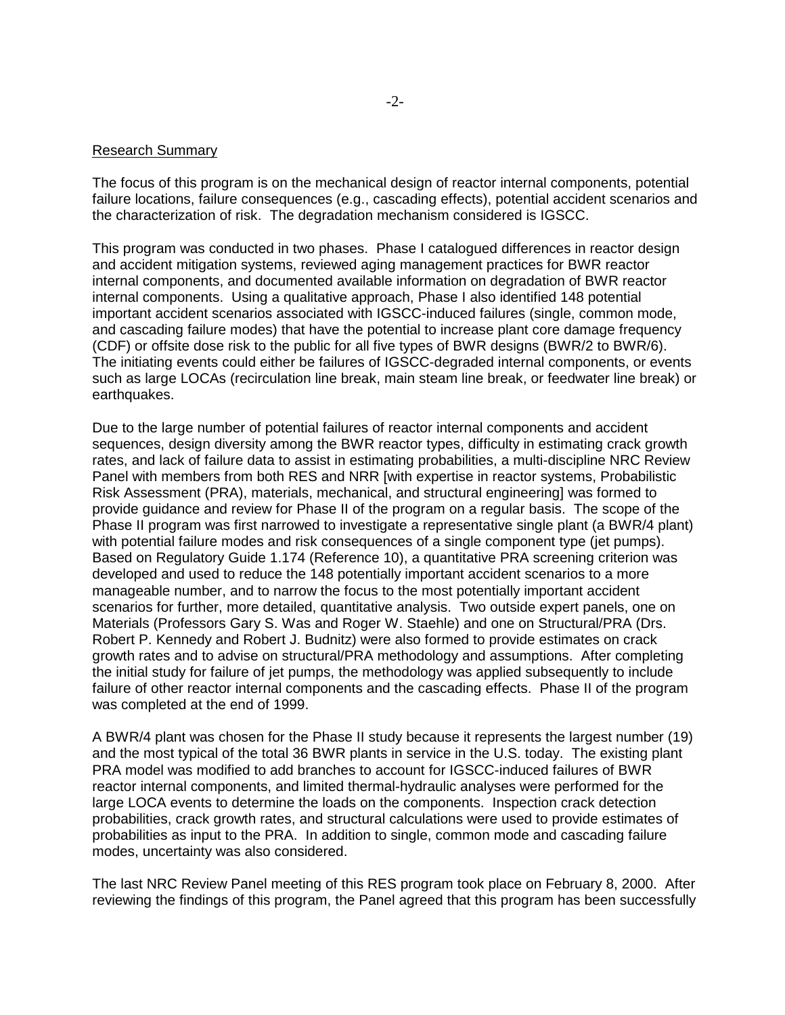#### Research Summary

The focus of this program is on the mechanical design of reactor internal components, potential failure locations, failure consequences (e.g., cascading effects), potential accident scenarios and the characterization of risk. The degradation mechanism considered is IGSCC.

This program was conducted in two phases. Phase I catalogued differences in reactor design and accident mitigation systems, reviewed aging management practices for BWR reactor internal components, and documented available information on degradation of BWR reactor internal components. Using a qualitative approach, Phase I also identified 148 potential important accident scenarios associated with IGSCC-induced failures (single, common mode, and cascading failure modes) that have the potential to increase plant core damage frequency (CDF) or offsite dose risk to the public for all five types of BWR designs (BWR/2 to BWR/6). The initiating events could either be failures of IGSCC-degraded internal components, or events such as large LOCAs (recirculation line break, main steam line break, or feedwater line break) or earthquakes.

Due to the large number of potential failures of reactor internal components and accident sequences, design diversity among the BWR reactor types, difficulty in estimating crack growth rates, and lack of failure data to assist in estimating probabilities, a multi-discipline NRC Review Panel with members from both RES and NRR [with expertise in reactor systems, Probabilistic Risk Assessment (PRA), materials, mechanical, and structural engineering] was formed to provide guidance and review for Phase II of the program on a regular basis. The scope of the Phase II program was first narrowed to investigate a representative single plant (a BWR/4 plant) with potential failure modes and risk consequences of a single component type (jet pumps). Based on Regulatory Guide 1.174 (Reference 10), a quantitative PRA screening criterion was developed and used to reduce the 148 potentially important accident scenarios to a more manageable number, and to narrow the focus to the most potentially important accident scenarios for further, more detailed, quantitative analysis. Two outside expert panels, one on Materials (Professors Gary S. Was and Roger W. Staehle) and one on Structural/PRA (Drs. Robert P. Kennedy and Robert J. Budnitz) were also formed to provide estimates on crack growth rates and to advise on structural/PRA methodology and assumptions. After completing the initial study for failure of jet pumps, the methodology was applied subsequently to include failure of other reactor internal components and the cascading effects. Phase II of the program was completed at the end of 1999.

A BWR/4 plant was chosen for the Phase II study because it represents the largest number (19) and the most typical of the total 36 BWR plants in service in the U.S. today. The existing plant PRA model was modified to add branches to account for IGSCC-induced failures of BWR reactor internal components, and limited thermal-hydraulic analyses were performed for the large LOCA events to determine the loads on the components. Inspection crack detection probabilities, crack growth rates, and structural calculations were used to provide estimates of probabilities as input to the PRA. In addition to single, common mode and cascading failure modes, uncertainty was also considered.

The last NRC Review Panel meeting of this RES program took place on February 8, 2000. After reviewing the findings of this program, the Panel agreed that this program has been successfully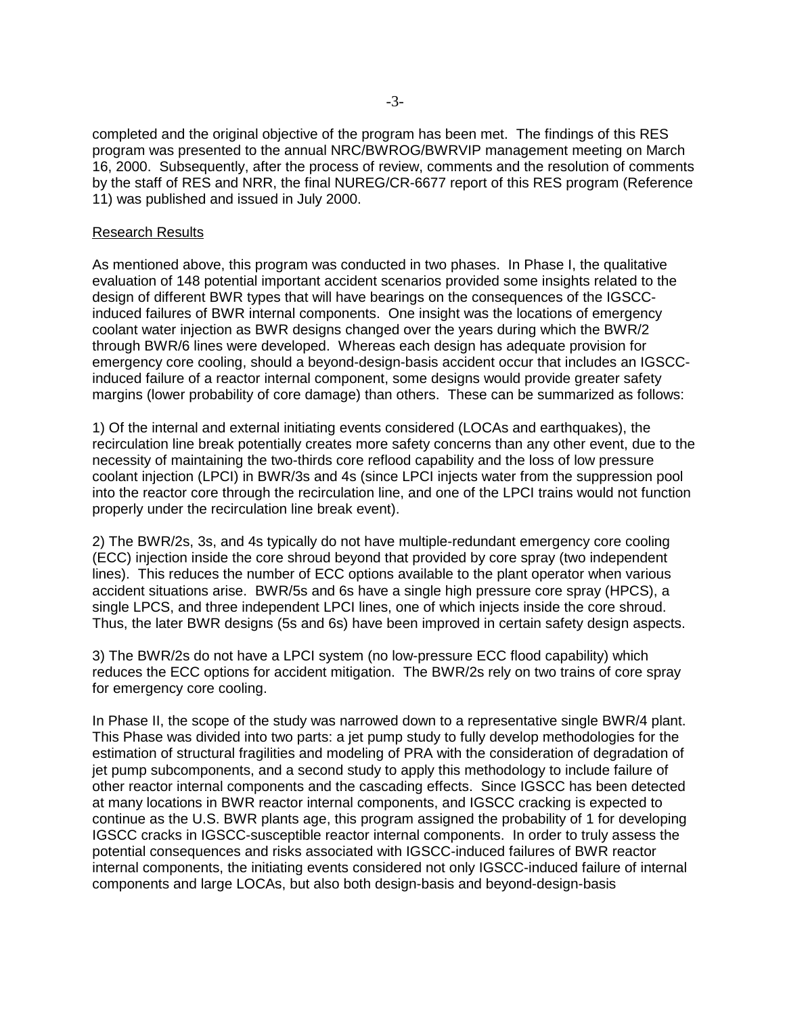completed and the original objective of the program has been met. The findings of this RES program was presented to the annual NRC/BWROG/BWRVIP management meeting on March 16, 2000. Subsequently, after the process of review, comments and the resolution of comments by the staff of RES and NRR, the final NUREG/CR-6677 report of this RES program (Reference 11) was published and issued in July 2000.

## Research Results

As mentioned above, this program was conducted in two phases. In Phase I, the qualitative evaluation of 148 potential important accident scenarios provided some insights related to the design of different BWR types that will have bearings on the consequences of the IGSCCinduced failures of BWR internal components. One insight was the locations of emergency coolant water injection as BWR designs changed over the years during which the BWR/2 through BWR/6 lines were developed. Whereas each design has adequate provision for emergency core cooling, should a beyond-design-basis accident occur that includes an IGSCCinduced failure of a reactor internal component, some designs would provide greater safety margins (lower probability of core damage) than others. These can be summarized as follows:

1) Of the internal and external initiating events considered (LOCAs and earthquakes), the recirculation line break potentially creates more safety concerns than any other event, due to the necessity of maintaining the two-thirds core reflood capability and the loss of low pressure coolant injection (LPCI) in BWR/3s and 4s (since LPCI injects water from the suppression pool into the reactor core through the recirculation line, and one of the LPCI trains would not function properly under the recirculation line break event).

2) The BWR/2s, 3s, and 4s typically do not have multiple-redundant emergency core cooling (ECC) injection inside the core shroud beyond that provided by core spray (two independent lines). This reduces the number of ECC options available to the plant operator when various accident situations arise. BWR/5s and 6s have a single high pressure core spray (HPCS), a single LPCS, and three independent LPCI lines, one of which injects inside the core shroud. Thus, the later BWR designs (5s and 6s) have been improved in certain safety design aspects.

3) The BWR/2s do not have a LPCI system (no low-pressure ECC flood capability) which reduces the ECC options for accident mitigation. The BWR/2s rely on two trains of core spray for emergency core cooling.

In Phase II, the scope of the study was narrowed down to a representative single BWR/4 plant. This Phase was divided into two parts: a jet pump study to fully develop methodologies for the estimation of structural fragilities and modeling of PRA with the consideration of degradation of jet pump subcomponents, and a second study to apply this methodology to include failure of other reactor internal components and the cascading effects. Since IGSCC has been detected at many locations in BWR reactor internal components, and IGSCC cracking is expected to continue as the U.S. BWR plants age, this program assigned the probability of 1 for developing IGSCC cracks in IGSCC-susceptible reactor internal components. In order to truly assess the potential consequences and risks associated with IGSCC-induced failures of BWR reactor internal components, the initiating events considered not only IGSCC-induced failure of internal components and large LOCAs, but also both design-basis and beyond-design-basis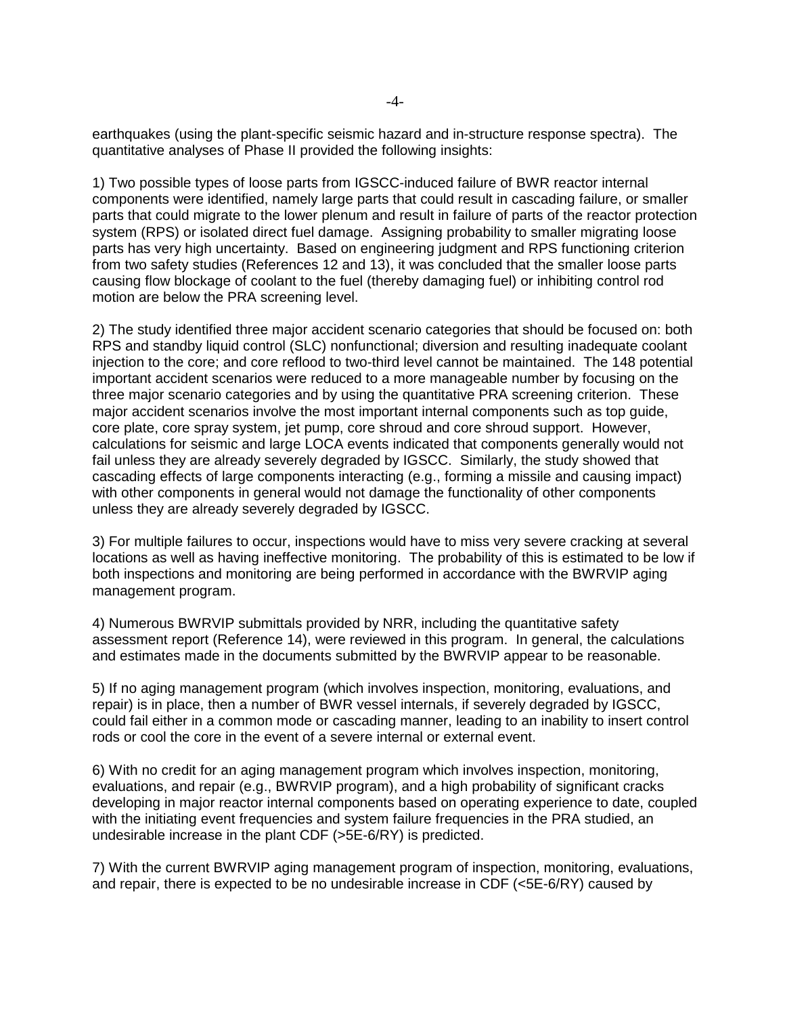earthquakes (using the plant-specific seismic hazard and in-structure response spectra). The quantitative analyses of Phase II provided the following insights:

1) Two possible types of loose parts from IGSCC-induced failure of BWR reactor internal components were identified, namely large parts that could result in cascading failure, or smaller parts that could migrate to the lower plenum and result in failure of parts of the reactor protection system (RPS) or isolated direct fuel damage. Assigning probability to smaller migrating loose parts has very high uncertainty. Based on engineering judgment and RPS functioning criterion from two safety studies (References 12 and 13), it was concluded that the smaller loose parts causing flow blockage of coolant to the fuel (thereby damaging fuel) or inhibiting control rod motion are below the PRA screening level.

2) The study identified three major accident scenario categories that should be focused on: both RPS and standby liquid control (SLC) nonfunctional; diversion and resulting inadequate coolant injection to the core; and core reflood to two-third level cannot be maintained. The 148 potential important accident scenarios were reduced to a more manageable number by focusing on the three major scenario categories and by using the quantitative PRA screening criterion. These major accident scenarios involve the most important internal components such as top guide, core plate, core spray system, jet pump, core shroud and core shroud support. However, calculations for seismic and large LOCA events indicated that components generally would not fail unless they are already severely degraded by IGSCC. Similarly, the study showed that cascading effects of large components interacting (e.g., forming a missile and causing impact) with other components in general would not damage the functionality of other components unless they are already severely degraded by IGSCC.

3) For multiple failures to occur, inspections would have to miss very severe cracking at several locations as well as having ineffective monitoring. The probability of this is estimated to be low if both inspections and monitoring are being performed in accordance with the BWRVIP aging management program.

4) Numerous BWRVIP submittals provided by NRR, including the quantitative safety assessment report (Reference 14), were reviewed in this program. In general, the calculations and estimates made in the documents submitted by the BWRVIP appear to be reasonable.

5) If no aging management program (which involves inspection, monitoring, evaluations, and repair) is in place, then a number of BWR vessel internals, if severely degraded by IGSCC, could fail either in a common mode or cascading manner, leading to an inability to insert control rods or cool the core in the event of a severe internal or external event.

6) With no credit for an aging management program which involves inspection, monitoring, evaluations, and repair (e.g., BWRVIP program), and a high probability of significant cracks developing in major reactor internal components based on operating experience to date, coupled with the initiating event frequencies and system failure frequencies in the PRA studied, an undesirable increase in the plant CDF (>5E-6/RY) is predicted.

7) With the current BWRVIP aging management program of inspection, monitoring, evaluations, and repair, there is expected to be no undesirable increase in CDF (<5E-6/RY) caused by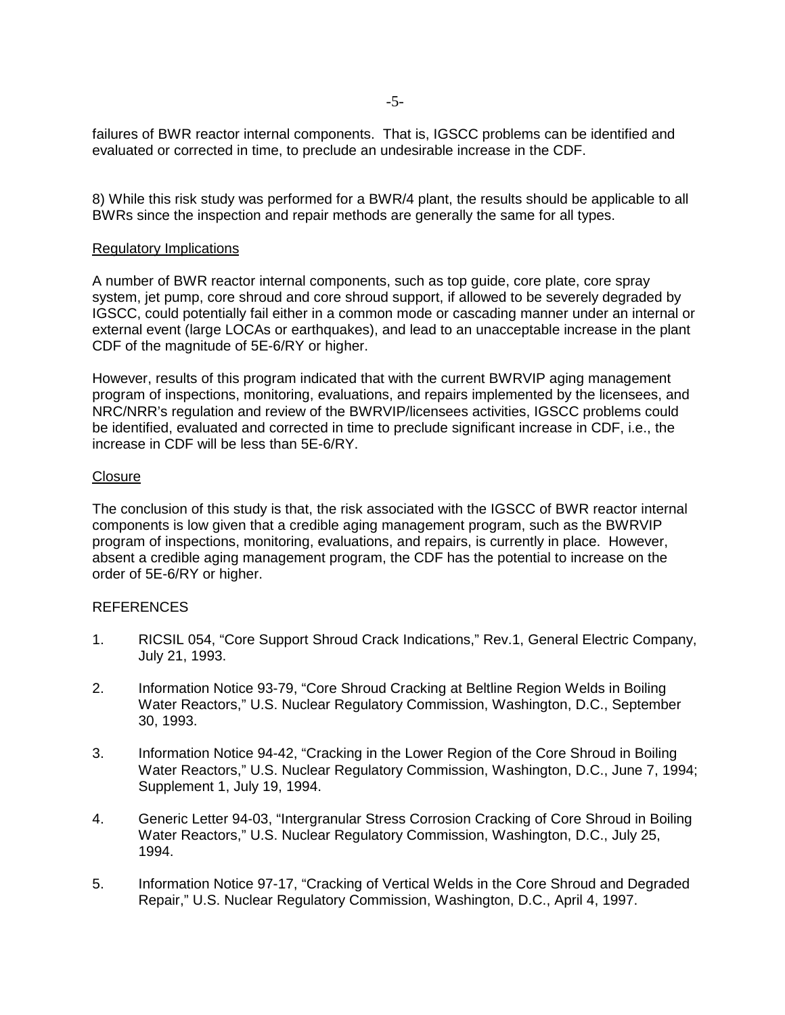failures of BWR reactor internal components. That is, IGSCC problems can be identified and evaluated or corrected in time, to preclude an undesirable increase in the CDF.

8) While this risk study was performed for a BWR/4 plant, the results should be applicable to all BWRs since the inspection and repair methods are generally the same for all types.

## Regulatory Implications

A number of BWR reactor internal components, such as top guide, core plate, core spray system, jet pump, core shroud and core shroud support, if allowed to be severely degraded by IGSCC, could potentially fail either in a common mode or cascading manner under an internal or external event (large LOCAs or earthquakes), and lead to an unacceptable increase in the plant CDF of the magnitude of 5E-6/RY or higher.

However, results of this program indicated that with the current BWRVIP aging management program of inspections, monitoring, evaluations, and repairs implemented by the licensees, and NRC/NRR's regulation and review of the BWRVIP/licensees activities, IGSCC problems could be identified, evaluated and corrected in time to preclude significant increase in CDF, i.e., the increase in CDF will be less than 5E-6/RY.

#### **Closure**

The conclusion of this study is that, the risk associated with the IGSCC of BWR reactor internal components is low given that a credible aging management program, such as the BWRVIP program of inspections, monitoring, evaluations, and repairs, is currently in place. However, absent a credible aging management program, the CDF has the potential to increase on the order of 5E-6/RY or higher.

## REFERENCES

- 1. RICSIL 054, "Core Support Shroud Crack Indications," Rev.1, General Electric Company, July 21, 1993.
- 2. Information Notice 93-79, "Core Shroud Cracking at Beltline Region Welds in Boiling Water Reactors," U.S. Nuclear Regulatory Commission, Washington, D.C., September 30, 1993.
- 3. Information Notice 94-42, "Cracking in the Lower Region of the Core Shroud in Boiling Water Reactors," U.S. Nuclear Regulatory Commission, Washington, D.C., June 7, 1994; Supplement 1, July 19, 1994.
- 4. Generic Letter 94-03, "Intergranular Stress Corrosion Cracking of Core Shroud in Boiling Water Reactors," U.S. Nuclear Regulatory Commission, Washington, D.C., July 25, 1994.
- 5. Information Notice 97-17, "Cracking of Vertical Welds in the Core Shroud and Degraded Repair," U.S. Nuclear Regulatory Commission, Washington, D.C., April 4, 1997.